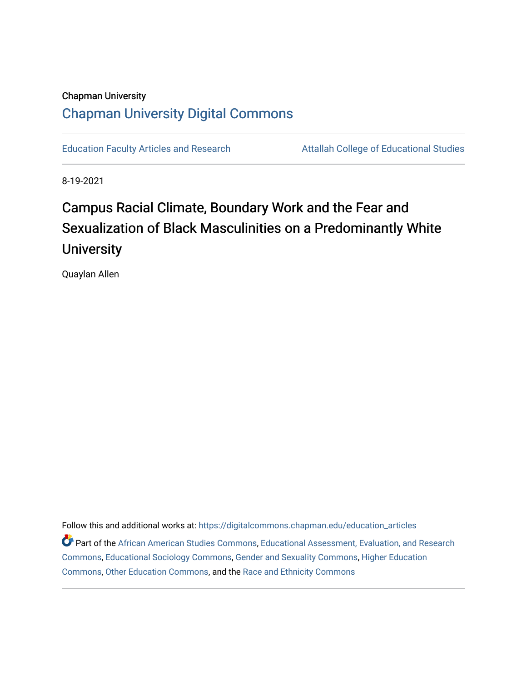### Chapman University [Chapman University Digital Commons](https://digitalcommons.chapman.edu/)

[Education Faculty Articles and Research](https://digitalcommons.chapman.edu/education_articles) **Attallah College of Educational Studies** 

8-19-2021

# Campus Racial Climate, Boundary Work and the Fear and Sexualization of Black Masculinities on a Predominantly White **University**

Quaylan Allen

Follow this and additional works at: [https://digitalcommons.chapman.edu/education\\_articles](https://digitalcommons.chapman.edu/education_articles?utm_source=digitalcommons.chapman.edu%2Feducation_articles%2F315&utm_medium=PDF&utm_campaign=PDFCoverPages) Part of the [African American Studies Commons,](http://network.bepress.com/hgg/discipline/567?utm_source=digitalcommons.chapman.edu%2Feducation_articles%2F315&utm_medium=PDF&utm_campaign=PDFCoverPages) [Educational Assessment, Evaluation, and Research](http://network.bepress.com/hgg/discipline/796?utm_source=digitalcommons.chapman.edu%2Feducation_articles%2F315&utm_medium=PDF&utm_campaign=PDFCoverPages) [Commons](http://network.bepress.com/hgg/discipline/796?utm_source=digitalcommons.chapman.edu%2Feducation_articles%2F315&utm_medium=PDF&utm_campaign=PDFCoverPages), [Educational Sociology Commons](http://network.bepress.com/hgg/discipline/1071?utm_source=digitalcommons.chapman.edu%2Feducation_articles%2F315&utm_medium=PDF&utm_campaign=PDFCoverPages), [Gender and Sexuality Commons,](http://network.bepress.com/hgg/discipline/420?utm_source=digitalcommons.chapman.edu%2Feducation_articles%2F315&utm_medium=PDF&utm_campaign=PDFCoverPages) [Higher Education](http://network.bepress.com/hgg/discipline/1245?utm_source=digitalcommons.chapman.edu%2Feducation_articles%2F315&utm_medium=PDF&utm_campaign=PDFCoverPages) [Commons](http://network.bepress.com/hgg/discipline/1245?utm_source=digitalcommons.chapman.edu%2Feducation_articles%2F315&utm_medium=PDF&utm_campaign=PDFCoverPages), [Other Education Commons](http://network.bepress.com/hgg/discipline/811?utm_source=digitalcommons.chapman.edu%2Feducation_articles%2F315&utm_medium=PDF&utm_campaign=PDFCoverPages), and the [Race and Ethnicity Commons](http://network.bepress.com/hgg/discipline/426?utm_source=digitalcommons.chapman.edu%2Feducation_articles%2F315&utm_medium=PDF&utm_campaign=PDFCoverPages)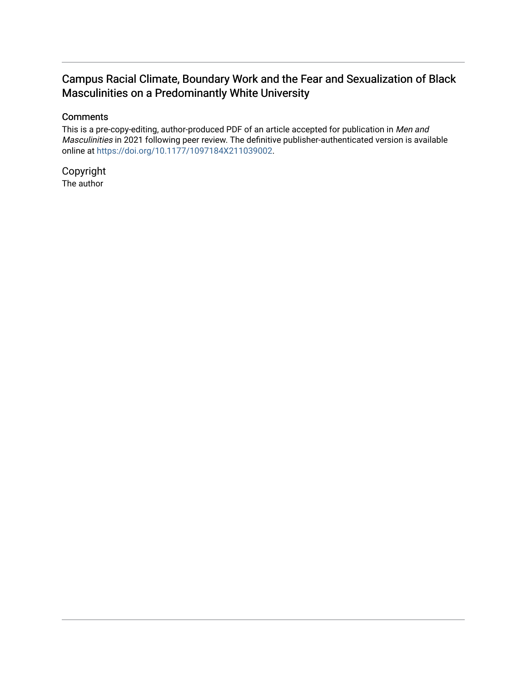### Campus Racial Climate, Boundary Work and the Fear and Sexualization of Black Masculinities on a Predominantly White University

#### **Comments**

This is a pre-copy-editing, author-produced PDF of an article accepted for publication in Men and Masculinities in 2021 following peer review. The definitive publisher-authenticated version is available online at [https://doi.org/10.1177/1097184X211039002.](https://doi.org/10.1177/1097184X211039002)

Copyright The author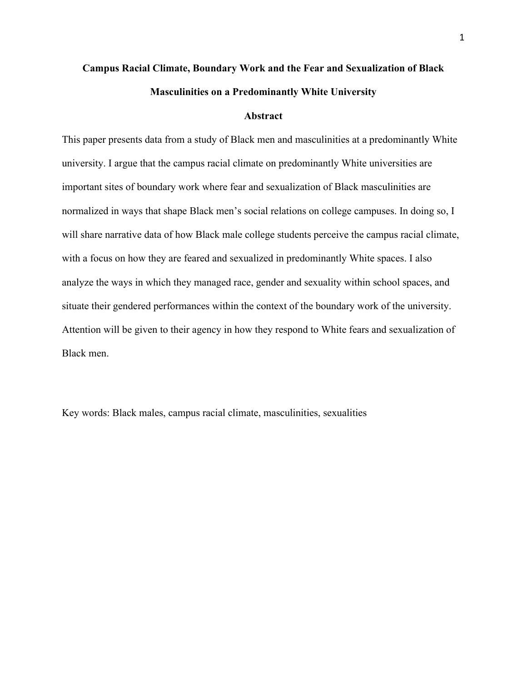## **Campus Racial Climate, Boundary Work and the Fear and Sexualization of Black Masculinities on a Predominantly White University**

#### **Abstract**

This paper presents data from a study of Black men and masculinities at a predominantly White university. I argue that the campus racial climate on predominantly White universities are important sites of boundary work where fear and sexualization of Black masculinities are normalized in ways that shape Black men's social relations on college campuses. In doing so, I will share narrative data of how Black male college students perceive the campus racial climate, with a focus on how they are feared and sexualized in predominantly White spaces. I also analyze the ways in which they managed race, gender and sexuality within school spaces, and situate their gendered performances within the context of the boundary work of the university. Attention will be given to their agency in how they respond to White fears and sexualization of Black men.

Key words: Black males, campus racial climate, masculinities, sexualities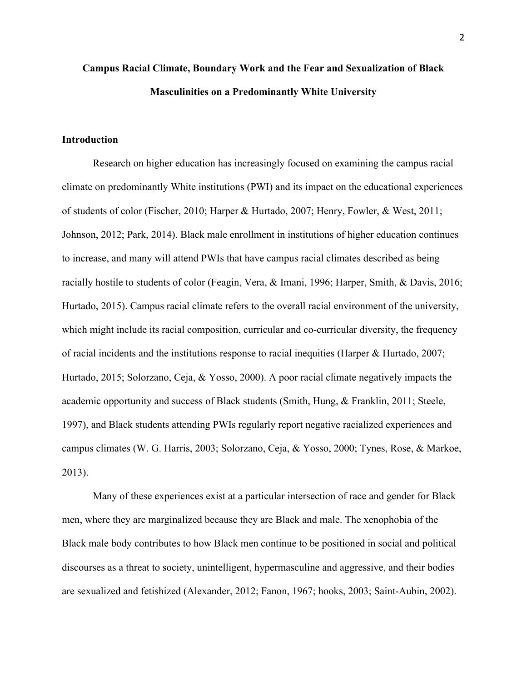## **Campus Racial Climate, Boundary Work and the Fear and Sexualization of Black Masculinities on a Predominantly White University**

#### **Introduction**

Research on higher education has increasingly focused on examining the campus racial climate on predominantly White institutions (PWI) and its impact on the educational experiences of students of color (Fischer, 2010; Harper & Hurtado, 2007; Henry, Fowler, & West, 2011; Johnson, 2012; Park, 2014). Black male enrollment in institutions of higher education continues to increase, and many will attend PWIs that have campus racial climates described as being racially hostile to students of color (Feagin, Vera, & Imani, 1996; Harper, Smith, & Davis, 2016; Hurtado, 2015). Campus racial climate refers to the overall racial environment of the university, which might include its racial composition, curricular and co-curricular diversity, the frequency of racial incidents and the institutions response to racial inequities (Harper & Hurtado, 2007; Hurtado, 2015; Solorzano, Ceja, & Yosso, 2000). A poor racial climate negatively impacts the academic opportunity and success of Black students (Smith, Hung, & Franklin, 2011; Steele, 1997), and Black students attending PWIs regularly report negative racialized experiences and campus climates (W. G. Harris, 2003; Solorzano, Ceja, & Yosso, 2000; Tynes, Rose, & Markoe, 2013).

Many of these experiences exist at a particular intersection of race and gender for Black men, where they are marginalized because they are Black and male. The xenophobia of the Black male body contributes to how Black men continue to be positioned in social and political discourses as a threat to society, unintelligent, hypermasculine and aggressive, and their bodies are sexualized and fetishized (Alexander, 2012; Fanon, 1967; hooks, 2003; Saint-Aubin, 2002).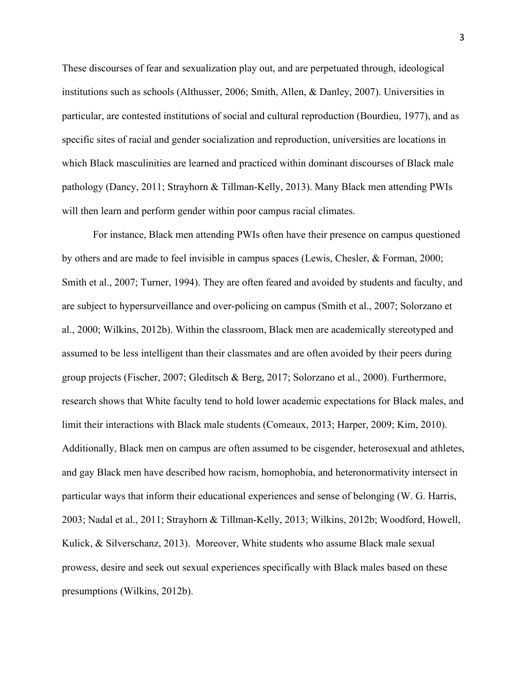These discourses of fear and sexualization play out, and are perpetuated through, ideological institutions such as schools (Althusser, 2006; Smith, Allen, & Danley, 2007). Universities in particular, are contested institutions of social and cultural reproduction (Bourdieu, 1977), and as specific sites of racial and gender socialization and reproduction, universities are locations in which Black masculinities are learned and practiced within dominant discourses of Black male pathology (Dancy, 2011; Strayhorn & Tillman-Kelly, 2013). Many Black men attending PWIs will then learn and perform gender within poor campus racial climates.

For instance, Black men attending PWIs often have their presence on campus questioned by others and are made to feel invisible in campus spaces (Lewis, Chesler, & Forman, 2000; Smith et al., 2007; Turner, 1994). They are often feared and avoided by students and faculty, and are subject to hypersurveillance and over-policing on campus (Smith et al., 2007; Solorzano et al., 2000; Wilkins, 2012b). Within the classroom, Black men are academically stereotyped and assumed to be less intelligent than their classmates and are often avoided by their peers during group projects (Fischer, 2007; Gleditsch & Berg, 2017; Solorzano et al., 2000). Furthermore, research shows that White faculty tend to hold lower academic expectations for Black males, and limit their interactions with Black male students (Comeaux, 2013; Harper, 2009; Kim, 2010). Additionally, Black men on campus are often assumed to be cisgender, heterosexual and athletes, and gay Black men have described how racism, homophobia, and heteronormativity intersect in particular ways that inform their educational experiences and sense of belonging (W. G. Harris, 2003; Nadal et al., 2011; Strayhorn & Tillman-Kelly, 2013; Wilkins, 2012b; Woodford, Howell, Kulick, & Silverschanz, 2013). Moreover, White students who assume Black male sexual prowess, desire and seek out sexual experiences specifically with Black males based on these presumptions (Wilkins, 2012b).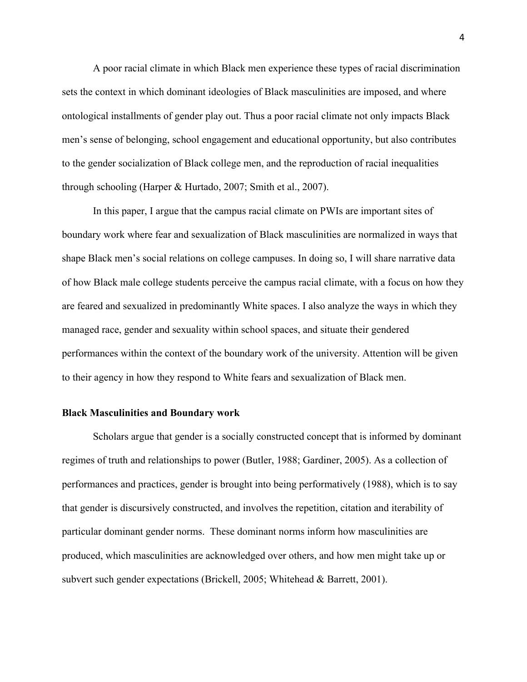A poor racial climate in which Black men experience these types of racial discrimination sets the context in which dominant ideologies of Black masculinities are imposed, and where ontological installments of gender play out. Thus a poor racial climate not only impacts Black men's sense of belonging, school engagement and educational opportunity, but also contributes to the gender socialization of Black college men, and the reproduction of racial inequalities through schooling (Harper & Hurtado, 2007; Smith et al., 2007).

In this paper, I argue that the campus racial climate on PWIs are important sites of boundary work where fear and sexualization of Black masculinities are normalized in ways that shape Black men's social relations on college campuses. In doing so, I will share narrative data of how Black male college students perceive the campus racial climate, with a focus on how they are feared and sexualized in predominantly White spaces. I also analyze the ways in which they managed race, gender and sexuality within school spaces, and situate their gendered performances within the context of the boundary work of the university. Attention will be given to their agency in how they respond to White fears and sexualization of Black men.

#### **Black Masculinities and Boundary work**

Scholars argue that gender is a socially constructed concept that is informed by dominant regimes of truth and relationships to power (Butler, 1988; Gardiner, 2005). As a collection of performances and practices, gender is brought into being performatively (1988), which is to say that gender is discursively constructed, and involves the repetition, citation and iterability of particular dominant gender norms. These dominant norms inform how masculinities are produced, which masculinities are acknowledged over others, and how men might take up or subvert such gender expectations (Brickell, 2005; Whitehead & Barrett, 2001).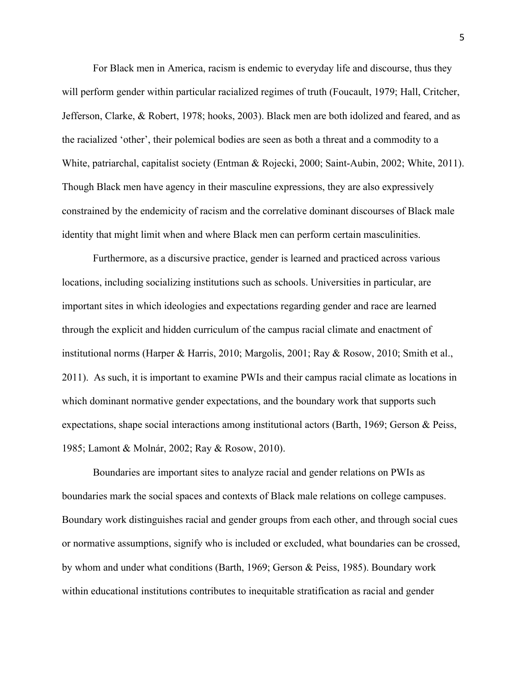For Black men in America, racism is endemic to everyday life and discourse, thus they will perform gender within particular racialized regimes of truth (Foucault, 1979; Hall, Critcher, Jefferson, Clarke, & Robert, 1978; hooks, 2003). Black men are both idolized and feared, and as the racialized 'other', their polemical bodies are seen as both a threat and a commodity to a White, patriarchal, capitalist society (Entman & Rojecki, 2000; Saint-Aubin, 2002; White, 2011). Though Black men have agency in their masculine expressions, they are also expressively constrained by the endemicity of racism and the correlative dominant discourses of Black male identity that might limit when and where Black men can perform certain masculinities.

Furthermore, as a discursive practice, gender is learned and practiced across various locations, including socializing institutions such as schools. Universities in particular, are important sites in which ideologies and expectations regarding gender and race are learned through the explicit and hidden curriculum of the campus racial climate and enactment of institutional norms (Harper & Harris, 2010; Margolis, 2001; Ray & Rosow, 2010; Smith et al., 2011). As such, it is important to examine PWIs and their campus racial climate as locations in which dominant normative gender expectations, and the boundary work that supports such expectations, shape social interactions among institutional actors (Barth, 1969; Gerson & Peiss, 1985; Lamont & Molnár, 2002; Ray & Rosow, 2010).

Boundaries are important sites to analyze racial and gender relations on PWIs as boundaries mark the social spaces and contexts of Black male relations on college campuses. Boundary work distinguishes racial and gender groups from each other, and through social cues or normative assumptions, signify who is included or excluded, what boundaries can be crossed, by whom and under what conditions (Barth, 1969; Gerson & Peiss, 1985). Boundary work within educational institutions contributes to inequitable stratification as racial and gender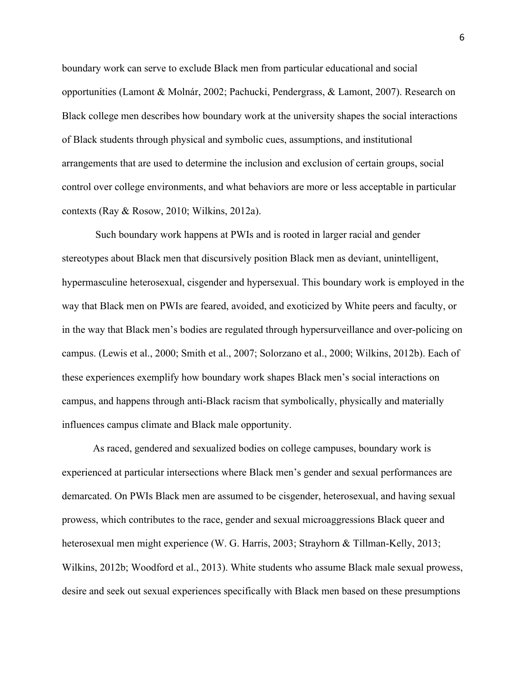boundary work can serve to exclude Black men from particular educational and social opportunities (Lamont & Molnár, 2002; Pachucki, Pendergrass, & Lamont, 2007). Research on Black college men describes how boundary work at the university shapes the social interactions of Black students through physical and symbolic cues, assumptions, and institutional arrangements that are used to determine the inclusion and exclusion of certain groups, social control over college environments, and what behaviors are more or less acceptable in particular contexts (Ray & Rosow, 2010; Wilkins, 2012a).

Such boundary work happens at PWIs and is rooted in larger racial and gender stereotypes about Black men that discursively position Black men as deviant, unintelligent, hypermasculine heterosexual, cisgender and hypersexual. This boundary work is employed in the way that Black men on PWIs are feared, avoided, and exoticized by White peers and faculty, or in the way that Black men's bodies are regulated through hypersurveillance and over-policing on campus. (Lewis et al., 2000; Smith et al., 2007; Solorzano et al., 2000; Wilkins, 2012b). Each of these experiences exemplify how boundary work shapes Black men's social interactions on campus, and happens through anti-Black racism that symbolically, physically and materially influences campus climate and Black male opportunity.

As raced, gendered and sexualized bodies on college campuses, boundary work is experienced at particular intersections where Black men's gender and sexual performances are demarcated. On PWIs Black men are assumed to be cisgender, heterosexual, and having sexual prowess, which contributes to the race, gender and sexual microaggressions Black queer and heterosexual men might experience (W. G. Harris, 2003; Strayhorn & Tillman-Kelly, 2013; Wilkins, 2012b; Woodford et al., 2013). White students who assume Black male sexual prowess, desire and seek out sexual experiences specifically with Black men based on these presumptions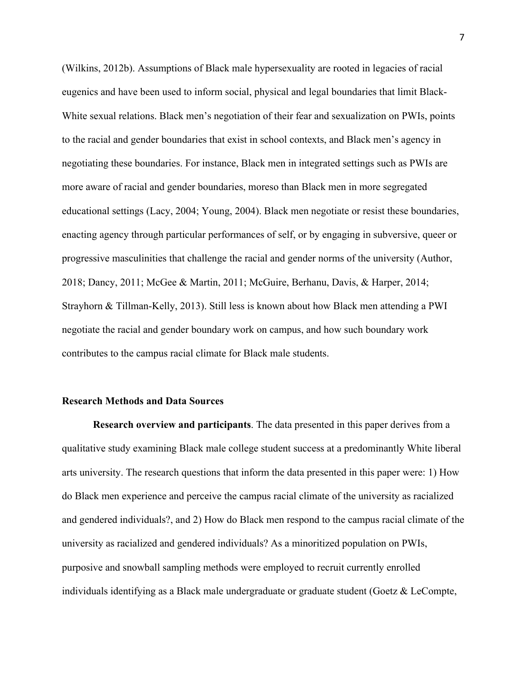(Wilkins, 2012b). Assumptions of Black male hypersexuality are rooted in legacies of racial eugenics and have been used to inform social, physical and legal boundaries that limit Black-White sexual relations. Black men's negotiation of their fear and sexualization on PWIs, points to the racial and gender boundaries that exist in school contexts, and Black men's agency in negotiating these boundaries. For instance, Black men in integrated settings such as PWIs are more aware of racial and gender boundaries, moreso than Black men in more segregated educational settings (Lacy, 2004; Young, 2004). Black men negotiate or resist these boundaries, enacting agency through particular performances of self, or by engaging in subversive, queer or progressive masculinities that challenge the racial and gender norms of the university (Author, 2018; Dancy, 2011; McGee & Martin, 2011; McGuire, Berhanu, Davis, & Harper, 2014; Strayhorn & Tillman-Kelly, 2013). Still less is known about how Black men attending a PWI negotiate the racial and gender boundary work on campus, and how such boundary work contributes to the campus racial climate for Black male students.

#### **Research Methods and Data Sources**

**Research overview and participants**. The data presented in this paper derives from a qualitative study examining Black male college student success at a predominantly White liberal arts university. The research questions that inform the data presented in this paper were: 1) How do Black men experience and perceive the campus racial climate of the university as racialized and gendered individuals?, and 2) How do Black men respond to the campus racial climate of the university as racialized and gendered individuals? As a minoritized population on PWIs, purposive and snowball sampling methods were employed to recruit currently enrolled individuals identifying as a Black male undergraduate or graduate student (Goetz & LeCompte,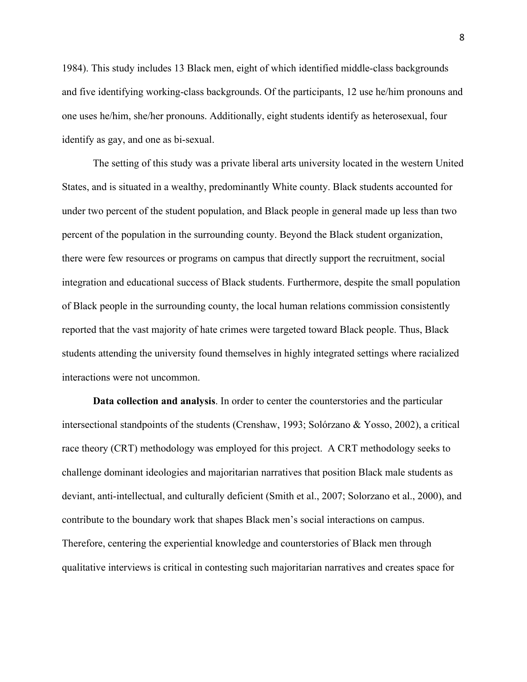1984). This study includes 13 Black men, eight of which identified middle-class backgrounds and five identifying working-class backgrounds. Of the participants, 12 use he/him pronouns and one uses he/him, she/her pronouns. Additionally, eight students identify as heterosexual, four identify as gay, and one as bi-sexual.

The setting of this study was a private liberal arts university located in the western United States, and is situated in a wealthy, predominantly White county. Black students accounted for under two percent of the student population, and Black people in general made up less than two percent of the population in the surrounding county. Beyond the Black student organization, there were few resources or programs on campus that directly support the recruitment, social integration and educational success of Black students. Furthermore, despite the small population of Black people in the surrounding county, the local human relations commission consistently reported that the vast majority of hate crimes were targeted toward Black people. Thus, Black students attending the university found themselves in highly integrated settings where racialized interactions were not uncommon.

**Data collection and analysis**. In order to center the counterstories and the particular intersectional standpoints of the students (Crenshaw, 1993; Solórzano & Yosso, 2002), a critical race theory (CRT) methodology was employed for this project. A CRT methodology seeks to challenge dominant ideologies and majoritarian narratives that position Black male students as deviant, anti-intellectual, and culturally deficient (Smith et al., 2007; Solorzano et al., 2000), and contribute to the boundary work that shapes Black men's social interactions on campus. Therefore, centering the experiential knowledge and counterstories of Black men through qualitative interviews is critical in contesting such majoritarian narratives and creates space for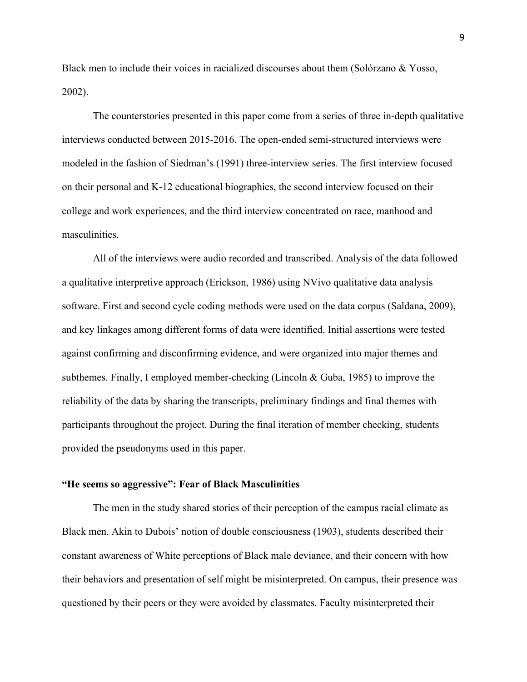Black men to include their voices in racialized discourses about them (Solórzano & Yosso, 2002).

The counterstories presented in this paper come from a series of three in-depth qualitative interviews conducted between 2015-2016. The open-ended semi-structured interviews were modeled in the fashion of Siedman's (1991) three-interview series. The first interview focused on their personal and K-12 educational biographies, the second interview focused on their college and work experiences, and the third interview concentrated on race, manhood and masculinities.

All of the interviews were audio recorded and transcribed. Analysis of the data followed a qualitative interpretive approach (Erickson, 1986) using NVivo qualitative data analysis software. First and second cycle coding methods were used on the data corpus (Saldana, 2009), and key linkages among different forms of data were identified. Initial assertions were tested against confirming and disconfirming evidence, and were organized into major themes and subthemes. Finally, I employed member-checking (Lincoln & Guba, 1985) to improve the reliability of the data by sharing the transcripts, preliminary findings and final themes with participants throughout the project. During the final iteration of member checking, students provided the pseudonyms used in this paper.

#### **"He seems so aggressive": Fear of Black Masculinities**

The men in the study shared stories of their perception of the campus racial climate as Black men. Akin to Dubois' notion of double consciousness (1903), students described their constant awareness of White perceptions of Black male deviance, and their concern with how their behaviors and presentation of self might be misinterpreted. On campus, their presence was questioned by their peers or they were avoided by classmates. Faculty misinterpreted their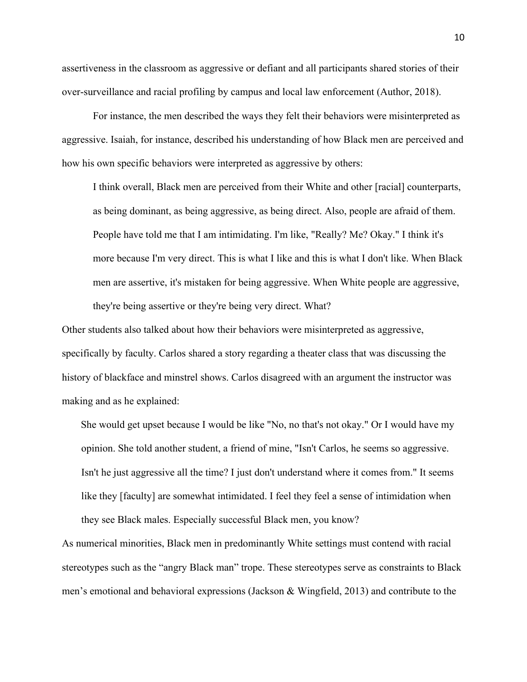assertiveness in the classroom as aggressive or defiant and all participants shared stories of their over-surveillance and racial profiling by campus and local law enforcement (Author, 2018).

For instance, the men described the ways they felt their behaviors were misinterpreted as aggressive. Isaiah, for instance, described his understanding of how Black men are perceived and how his own specific behaviors were interpreted as aggressive by others:

I think overall, Black men are perceived from their White and other [racial] counterparts, as being dominant, as being aggressive, as being direct. Also, people are afraid of them. People have told me that I am intimidating. I'm like, "Really? Me? Okay." I think it's more because I'm very direct. This is what I like and this is what I don't like. When Black men are assertive, it's mistaken for being aggressive. When White people are aggressive, they're being assertive or they're being very direct. What?

Other students also talked about how their behaviors were misinterpreted as aggressive, specifically by faculty. Carlos shared a story regarding a theater class that was discussing the history of blackface and minstrel shows. Carlos disagreed with an argument the instructor was making and as he explained:

She would get upset because I would be like "No, no that's not okay." Or I would have my opinion. She told another student, a friend of mine, "Isn't Carlos, he seems so aggressive. Isn't he just aggressive all the time? I just don't understand where it comes from." It seems like they [faculty] are somewhat intimidated. I feel they feel a sense of intimidation when they see Black males. Especially successful Black men, you know?

As numerical minorities, Black men in predominantly White settings must contend with racial stereotypes such as the "angry Black man" trope. These stereotypes serve as constraints to Black men's emotional and behavioral expressions (Jackson & Wingfield, 2013) and contribute to the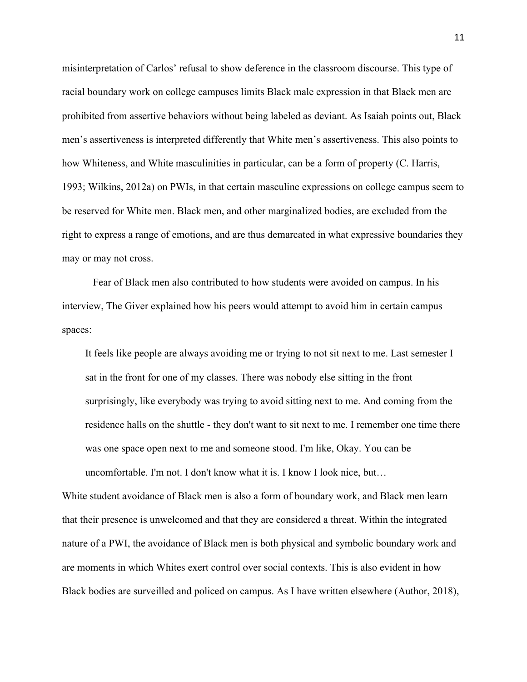misinterpretation of Carlos' refusal to show deference in the classroom discourse. This type of racial boundary work on college campuses limits Black male expression in that Black men are prohibited from assertive behaviors without being labeled as deviant. As Isaiah points out, Black men's assertiveness is interpreted differently that White men's assertiveness. This also points to how Whiteness, and White masculinities in particular, can be a form of property (C. Harris, 1993; Wilkins, 2012a) on PWIs, in that certain masculine expressions on college campus seem to be reserved for White men. Black men, and other marginalized bodies, are excluded from the right to express a range of emotions, and are thus demarcated in what expressive boundaries they may or may not cross.

Fear of Black men also contributed to how students were avoided on campus. In his interview, The Giver explained how his peers would attempt to avoid him in certain campus spaces:

It feels like people are always avoiding me or trying to not sit next to me. Last semester I sat in the front for one of my classes. There was nobody else sitting in the front surprisingly, like everybody was trying to avoid sitting next to me. And coming from the residence halls on the shuttle - they don't want to sit next to me. I remember one time there was one space open next to me and someone stood. I'm like, Okay. You can be uncomfortable. I'm not. I don't know what it is. I know I look nice, but…

White student avoidance of Black men is also a form of boundary work, and Black men learn that their presence is unwelcomed and that they are considered a threat. Within the integrated nature of a PWI, the avoidance of Black men is both physical and symbolic boundary work and are moments in which Whites exert control over social contexts. This is also evident in how Black bodies are surveilled and policed on campus. As I have written elsewhere (Author, 2018),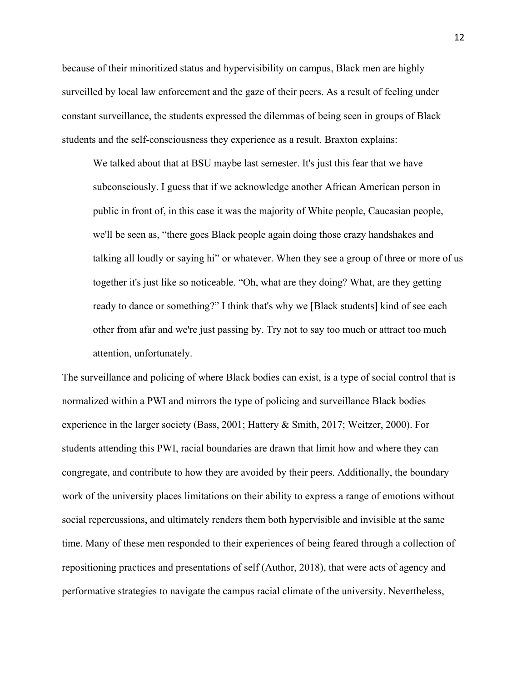because of their minoritized status and hypervisibility on campus, Black men are highly surveilled by local law enforcement and the gaze of their peers. As a result of feeling under constant surveillance, the students expressed the dilemmas of being seen in groups of Black students and the self-consciousness they experience as a result. Braxton explains:

We talked about that at BSU maybe last semester. It's just this fear that we have subconsciously. I guess that if we acknowledge another African American person in public in front of, in this case it was the majority of White people, Caucasian people, we'll be seen as, "there goes Black people again doing those crazy handshakes and talking all loudly or saying hi" or whatever. When they see a group of three or more of us together it's just like so noticeable. "Oh, what are they doing? What, are they getting ready to dance or something?" I think that's why we [Black students] kind of see each other from afar and we're just passing by. Try not to say too much or attract too much attention, unfortunately.

The surveillance and policing of where Black bodies can exist, is a type of social control that is normalized within a PWI and mirrors the type of policing and surveillance Black bodies experience in the larger society (Bass, 2001; Hattery & Smith, 2017; Weitzer, 2000). For students attending this PWI, racial boundaries are drawn that limit how and where they can congregate, and contribute to how they are avoided by their peers. Additionally, the boundary work of the university places limitations on their ability to express a range of emotions without social repercussions, and ultimately renders them both hypervisible and invisible at the same time. Many of these men responded to their experiences of being feared through a collection of repositioning practices and presentations of self (Author, 2018), that were acts of agency and performative strategies to navigate the campus racial climate of the university. Nevertheless,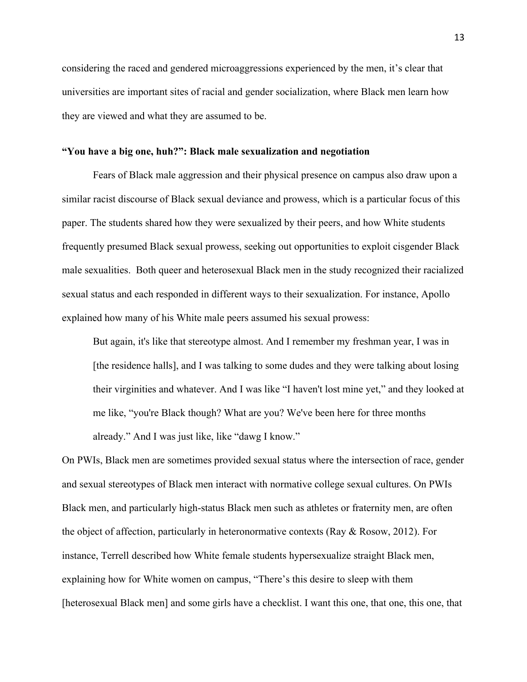considering the raced and gendered microaggressions experienced by the men, it's clear that universities are important sites of racial and gender socialization, where Black men learn how they are viewed and what they are assumed to be.

#### **"You have a big one, huh?": Black male sexualization and negotiation**

Fears of Black male aggression and their physical presence on campus also draw upon a similar racist discourse of Black sexual deviance and prowess, which is a particular focus of this paper. The students shared how they were sexualized by their peers, and how White students frequently presumed Black sexual prowess, seeking out opportunities to exploit cisgender Black male sexualities. Both queer and heterosexual Black men in the study recognized their racialized sexual status and each responded in different ways to their sexualization. For instance, Apollo explained how many of his White male peers assumed his sexual prowess:

But again, it's like that stereotype almost. And I remember my freshman year, I was in [the residence halls], and I was talking to some dudes and they were talking about losing their virginities and whatever. And I was like "I haven't lost mine yet," and they looked at me like, "you're Black though? What are you? We've been here for three months already." And I was just like, like "dawg I know."

On PWIs, Black men are sometimes provided sexual status where the intersection of race, gender and sexual stereotypes of Black men interact with normative college sexual cultures. On PWIs Black men, and particularly high-status Black men such as athletes or fraternity men, are often the object of affection, particularly in heteronormative contexts (Ray & Rosow, 2012). For instance, Terrell described how White female students hypersexualize straight Black men, explaining how for White women on campus, "There's this desire to sleep with them [heterosexual Black men] and some girls have a checklist. I want this one, that one, this one, that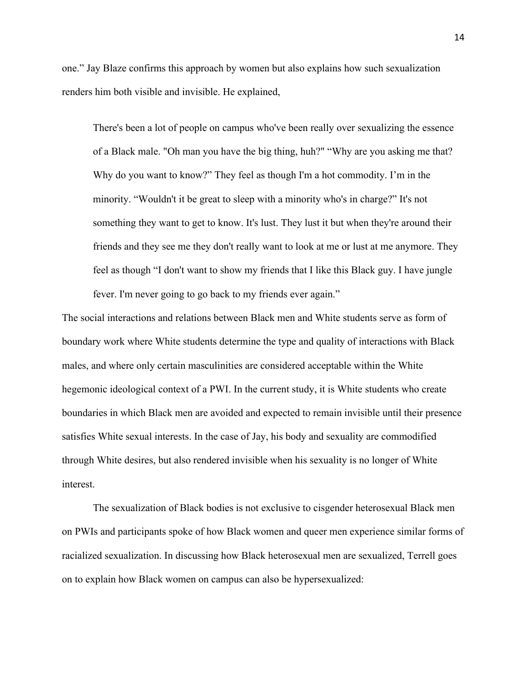one." Jay Blaze confirms this approach by women but also explains how such sexualization renders him both visible and invisible. He explained,

There's been a lot of people on campus who've been really over sexualizing the essence of a Black male. "Oh man you have the big thing, huh?" "Why are you asking me that? Why do you want to know?" They feel as though I'm a hot commodity. I'm in the minority. "Wouldn't it be great to sleep with a minority who's in charge?" It's not something they want to get to know. It's lust. They lust it but when they're around their friends and they see me they don't really want to look at me or lust at me anymore. They feel as though "I don't want to show my friends that I like this Black guy. I have jungle fever. I'm never going to go back to my friends ever again."

The social interactions and relations between Black men and White students serve as form of boundary work where White students determine the type and quality of interactions with Black males, and where only certain masculinities are considered acceptable within the White hegemonic ideological context of a PWI. In the current study, it is White students who create boundaries in which Black men are avoided and expected to remain invisible until their presence satisfies White sexual interests. In the case of Jay, his body and sexuality are commodified through White desires, but also rendered invisible when his sexuality is no longer of White interest.

The sexualization of Black bodies is not exclusive to cisgender heterosexual Black men on PWIs and participants spoke of how Black women and queer men experience similar forms of racialized sexualization. In discussing how Black heterosexual men are sexualized, Terrell goes on to explain how Black women on campus can also be hypersexualized: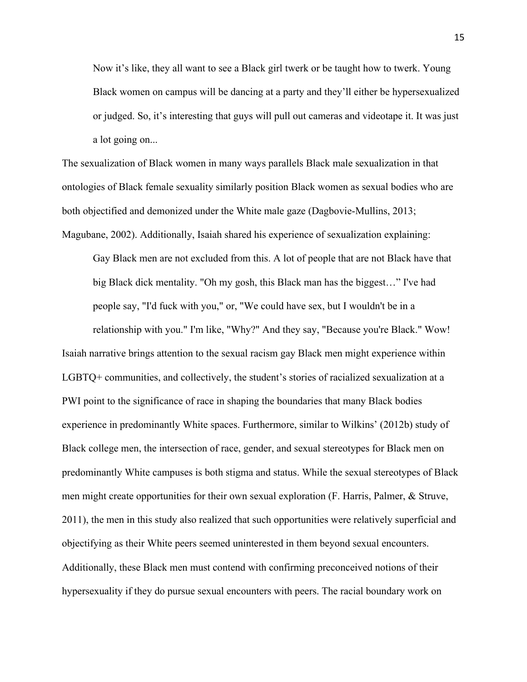Now it's like, they all want to see a Black girl twerk or be taught how to twerk. Young Black women on campus will be dancing at a party and they'll either be hypersexualized or judged. So, it's interesting that guys will pull out cameras and videotape it. It was just a lot going on...

The sexualization of Black women in many ways parallels Black male sexualization in that ontologies of Black female sexuality similarly position Black women as sexual bodies who are both objectified and demonized under the White male gaze (Dagbovie-Mullins, 2013;

Magubane, 2002). Additionally, Isaiah shared his experience of sexualization explaining:

Gay Black men are not excluded from this. A lot of people that are not Black have that big Black dick mentality. "Oh my gosh, this Black man has the biggest…" I've had people say, "I'd fuck with you," or, "We could have sex, but I wouldn't be in a

relationship with you." I'm like, "Why?" And they say, "Because you're Black." Wow! Isaiah narrative brings attention to the sexual racism gay Black men might experience within LGBTQ+ communities, and collectively, the student's stories of racialized sexualization at a PWI point to the significance of race in shaping the boundaries that many Black bodies experience in predominantly White spaces. Furthermore, similar to Wilkins' (2012b) study of Black college men, the intersection of race, gender, and sexual stereotypes for Black men on predominantly White campuses is both stigma and status. While the sexual stereotypes of Black men might create opportunities for their own sexual exploration (F. Harris, Palmer, & Struve, 2011), the men in this study also realized that such opportunities were relatively superficial and objectifying as their White peers seemed uninterested in them beyond sexual encounters. Additionally, these Black men must contend with confirming preconceived notions of their hypersexuality if they do pursue sexual encounters with peers. The racial boundary work on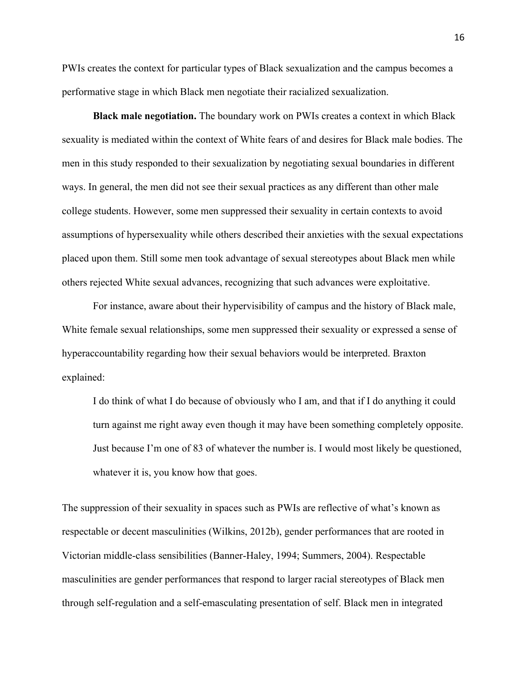PWIs creates the context for particular types of Black sexualization and the campus becomes a performative stage in which Black men negotiate their racialized sexualization.

**Black male negotiation.** The boundary work on PWIs creates a context in which Black sexuality is mediated within the context of White fears of and desires for Black male bodies. The men in this study responded to their sexualization by negotiating sexual boundaries in different ways. In general, the men did not see their sexual practices as any different than other male college students. However, some men suppressed their sexuality in certain contexts to avoid assumptions of hypersexuality while others described their anxieties with the sexual expectations placed upon them. Still some men took advantage of sexual stereotypes about Black men while others rejected White sexual advances, recognizing that such advances were exploitative.

For instance, aware about their hypervisibility of campus and the history of Black male, White female sexual relationships, some men suppressed their sexuality or expressed a sense of hyperaccountability regarding how their sexual behaviors would be interpreted. Braxton explained:

I do think of what I do because of obviously who I am, and that if I do anything it could turn against me right away even though it may have been something completely opposite. Just because I'm one of 83 of whatever the number is. I would most likely be questioned, whatever it is, you know how that goes.

The suppression of their sexuality in spaces such as PWIs are reflective of what's known as respectable or decent masculinities (Wilkins, 2012b), gender performances that are rooted in Victorian middle-class sensibilities (Banner-Haley, 1994; Summers, 2004). Respectable masculinities are gender performances that respond to larger racial stereotypes of Black men through self-regulation and a self-emasculating presentation of self. Black men in integrated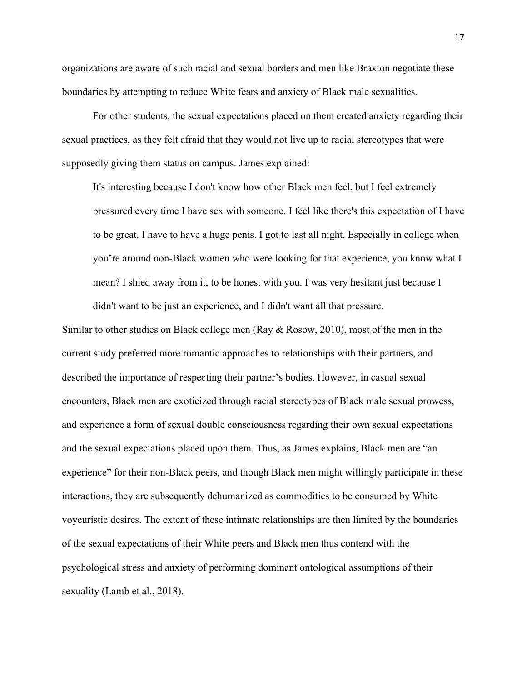organizations are aware of such racial and sexual borders and men like Braxton negotiate these boundaries by attempting to reduce White fears and anxiety of Black male sexualities.

For other students, the sexual expectations placed on them created anxiety regarding their sexual practices, as they felt afraid that they would not live up to racial stereotypes that were supposedly giving them status on campus. James explained:

It's interesting because I don't know how other Black men feel, but I feel extremely pressured every time I have sex with someone. I feel like there's this expectation of I have to be great. I have to have a huge penis. I got to last all night. Especially in college when you're around non-Black women who were looking for that experience, you know what I mean? I shied away from it, to be honest with you. I was very hesitant just because I didn't want to be just an experience, and I didn't want all that pressure.

Similar to other studies on Black college men (Ray & Rosow, 2010), most of the men in the current study preferred more romantic approaches to relationships with their partners, and described the importance of respecting their partner's bodies. However, in casual sexual encounters, Black men are exoticized through racial stereotypes of Black male sexual prowess, and experience a form of sexual double consciousness regarding their own sexual expectations and the sexual expectations placed upon them. Thus, as James explains, Black men are "an experience" for their non-Black peers, and though Black men might willingly participate in these interactions, they are subsequently dehumanized as commodities to be consumed by White voyeuristic desires. The extent of these intimate relationships are then limited by the boundaries of the sexual expectations of their White peers and Black men thus contend with the psychological stress and anxiety of performing dominant ontological assumptions of their sexuality (Lamb et al., 2018).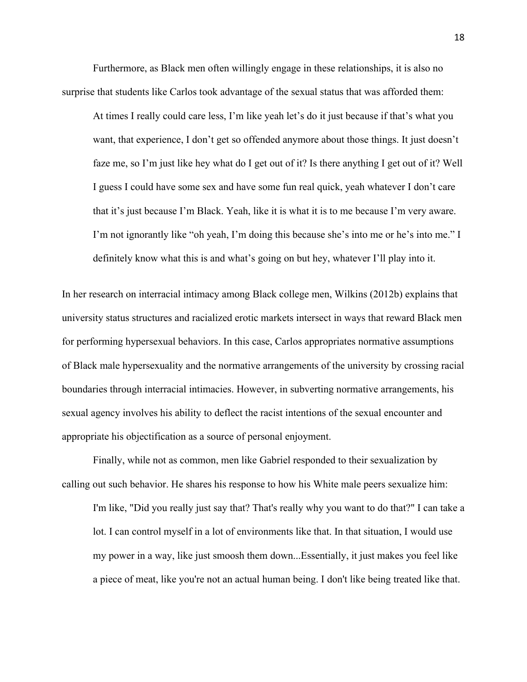Furthermore, as Black men often willingly engage in these relationships, it is also no surprise that students like Carlos took advantage of the sexual status that was afforded them:

At times I really could care less, I'm like yeah let's do it just because if that's what you want, that experience, I don't get so offended anymore about those things. It just doesn't faze me, so I'm just like hey what do I get out of it? Is there anything I get out of it? Well I guess I could have some sex and have some fun real quick, yeah whatever I don't care that it's just because I'm Black. Yeah, like it is what it is to me because I'm very aware. I'm not ignorantly like "oh yeah, I'm doing this because she's into me or he's into me." I definitely know what this is and what's going on but hey, whatever I'll play into it.

In her research on interracial intimacy among Black college men, Wilkins (2012b) explains that university status structures and racialized erotic markets intersect in ways that reward Black men for performing hypersexual behaviors. In this case, Carlos appropriates normative assumptions of Black male hypersexuality and the normative arrangements of the university by crossing racial boundaries through interracial intimacies. However, in subverting normative arrangements, his sexual agency involves his ability to deflect the racist intentions of the sexual encounter and appropriate his objectification as a source of personal enjoyment.

Finally, while not as common, men like Gabriel responded to their sexualization by calling out such behavior. He shares his response to how his White male peers sexualize him:

I'm like, "Did you really just say that? That's really why you want to do that?" I can take a lot. I can control myself in a lot of environments like that. In that situation, I would use my power in a way, like just smoosh them down...Essentially, it just makes you feel like a piece of meat, like you're not an actual human being. I don't like being treated like that.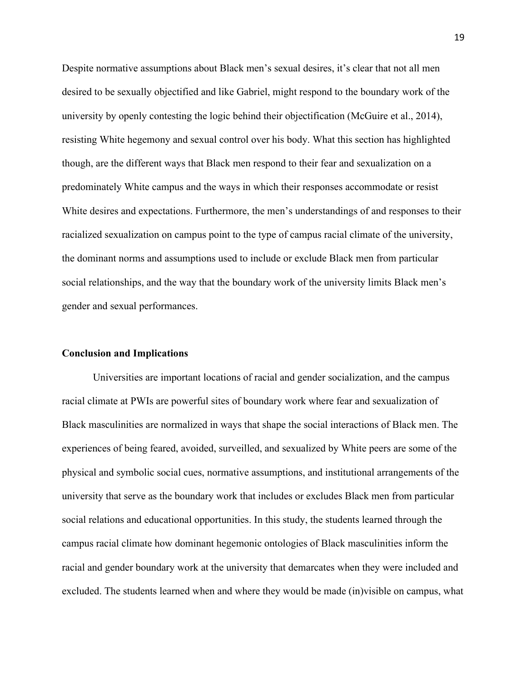Despite normative assumptions about Black men's sexual desires, it's clear that not all men desired to be sexually objectified and like Gabriel, might respond to the boundary work of the university by openly contesting the logic behind their objectification (McGuire et al., 2014), resisting White hegemony and sexual control over his body. What this section has highlighted though, are the different ways that Black men respond to their fear and sexualization on a predominately White campus and the ways in which their responses accommodate or resist White desires and expectations. Furthermore, the men's understandings of and responses to their racialized sexualization on campus point to the type of campus racial climate of the university, the dominant norms and assumptions used to include or exclude Black men from particular social relationships, and the way that the boundary work of the university limits Black men's gender and sexual performances.

#### **Conclusion and Implications**

Universities are important locations of racial and gender socialization, and the campus racial climate at PWIs are powerful sites of boundary work where fear and sexualization of Black masculinities are normalized in ways that shape the social interactions of Black men. The experiences of being feared, avoided, surveilled, and sexualized by White peers are some of the physical and symbolic social cues, normative assumptions, and institutional arrangements of the university that serve as the boundary work that includes or excludes Black men from particular social relations and educational opportunities. In this study, the students learned through the campus racial climate how dominant hegemonic ontologies of Black masculinities inform the racial and gender boundary work at the university that demarcates when they were included and excluded. The students learned when and where they would be made (in)visible on campus, what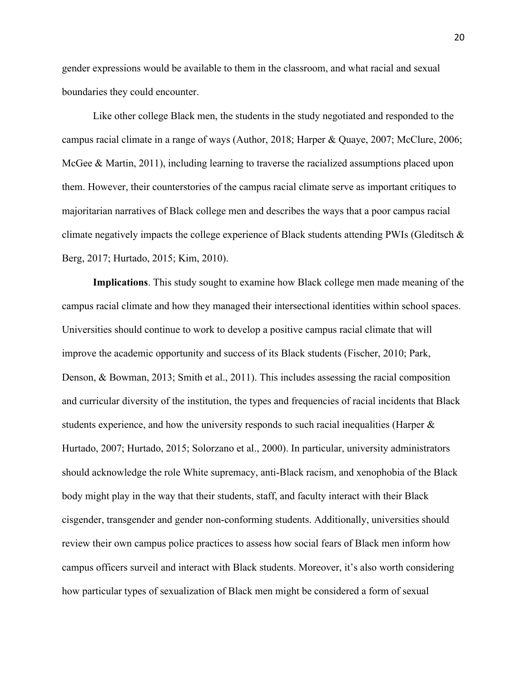gender expressions would be available to them in the classroom, and what racial and sexual boundaries they could encounter.

Like other college Black men, the students in the study negotiated and responded to the campus racial climate in a range of ways (Author, 2018; Harper & Quaye, 2007; McClure, 2006; McGee & Martin, 2011), including learning to traverse the racialized assumptions placed upon them. However, their counterstories of the campus racial climate serve as important critiques to majoritarian narratives of Black college men and describes the ways that a poor campus racial climate negatively impacts the college experience of Black students attending PWIs (Gleditsch  $\&$ Berg, 2017; Hurtado, 2015; Kim, 2010).

**Implications**. This study sought to examine how Black college men made meaning of the campus racial climate and how they managed their intersectional identities within school spaces. Universities should continue to work to develop a positive campus racial climate that will improve the academic opportunity and success of its Black students (Fischer, 2010; Park, Denson, & Bowman, 2013; Smith et al., 2011). This includes assessing the racial composition and curricular diversity of the institution, the types and frequencies of racial incidents that Black students experience, and how the university responds to such racial inequalities (Harper & Hurtado, 2007; Hurtado, 2015; Solorzano et al., 2000). In particular, university administrators should acknowledge the role White supremacy, anti-Black racism, and xenophobia of the Black body might play in the way that their students, staff, and faculty interact with their Black cisgender, transgender and gender non-conforming students. Additionally, universities should review their own campus police practices to assess how social fears of Black men inform how campus officers surveil and interact with Black students. Moreover, it's also worth considering how particular types of sexualization of Black men might be considered a form of sexual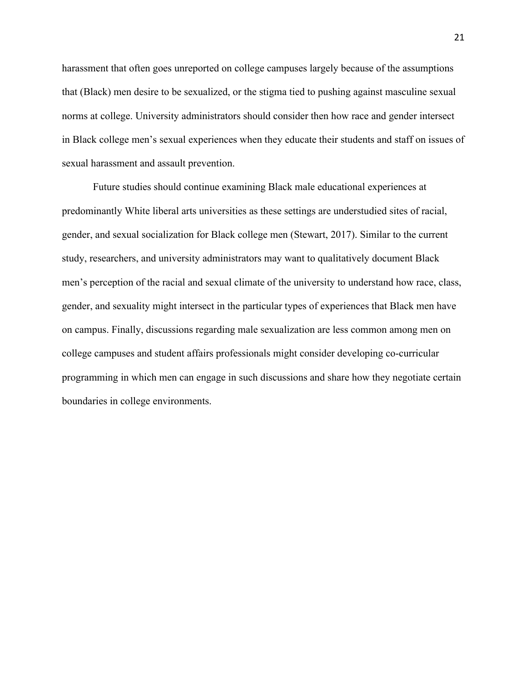harassment that often goes unreported on college campuses largely because of the assumptions that (Black) men desire to be sexualized, or the stigma tied to pushing against masculine sexual norms at college. University administrators should consider then how race and gender intersect in Black college men's sexual experiences when they educate their students and staff on issues of sexual harassment and assault prevention.

Future studies should continue examining Black male educational experiences at predominantly White liberal arts universities as these settings are understudied sites of racial, gender, and sexual socialization for Black college men (Stewart, 2017). Similar to the current study, researchers, and university administrators may want to qualitatively document Black men's perception of the racial and sexual climate of the university to understand how race, class, gender, and sexuality might intersect in the particular types of experiences that Black men have on campus. Finally, discussions regarding male sexualization are less common among men on college campuses and student affairs professionals might consider developing co-curricular programming in which men can engage in such discussions and share how they negotiate certain boundaries in college environments.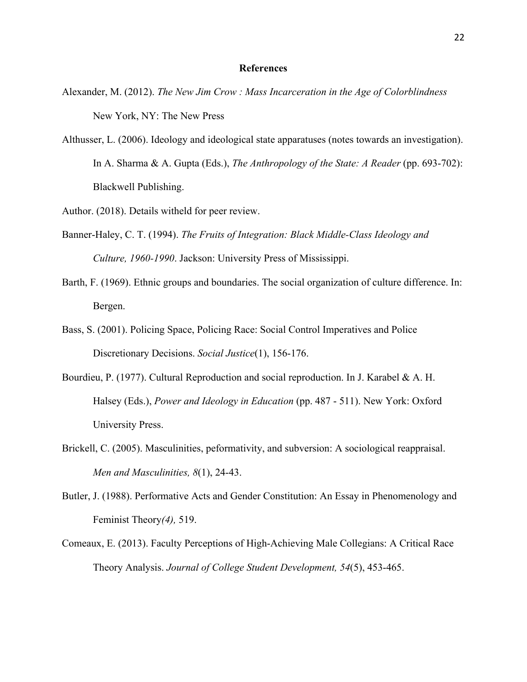#### **References**

- Alexander, M. (2012). *The New Jim Crow : Mass Incarceration in the Age of Colorblindness*  New York, NY: The New Press
- Althusser, L. (2006). Ideology and ideological state apparatuses (notes towards an investigation). In A. Sharma & A. Gupta (Eds.), *The Anthropology of the State: A Reader* (pp. 693-702): Blackwell Publishing.
- Author. (2018). Details witheld for peer review.
- Banner-Haley, C. T. (1994). *The Fruits of Integration: Black Middle-Class Ideology and Culture, 1960-1990*. Jackson: University Press of Mississippi.
- Barth, F. (1969). Ethnic groups and boundaries. The social organization of culture difference. In: Bergen.
- Bass, S. (2001). Policing Space, Policing Race: Social Control Imperatives and Police Discretionary Decisions. *Social Justice*(1), 156-176.
- Bourdieu, P. (1977). Cultural Reproduction and social reproduction. In J. Karabel & A. H. Halsey (Eds.), *Power and Ideology in Education* (pp. 487 - 511). New York: Oxford University Press.
- Brickell, C. (2005). Masculinities, peformativity, and subversion: A sociological reappraisal. *Men and Masculinities, 8*(1), 24-43.
- Butler, J. (1988). Performative Acts and Gender Constitution: An Essay in Phenomenology and Feminist Theory*(4),* 519.
- Comeaux, E. (2013). Faculty Perceptions of High-Achieving Male Collegians: A Critical Race Theory Analysis. *Journal of College Student Development, 54*(5), 453-465.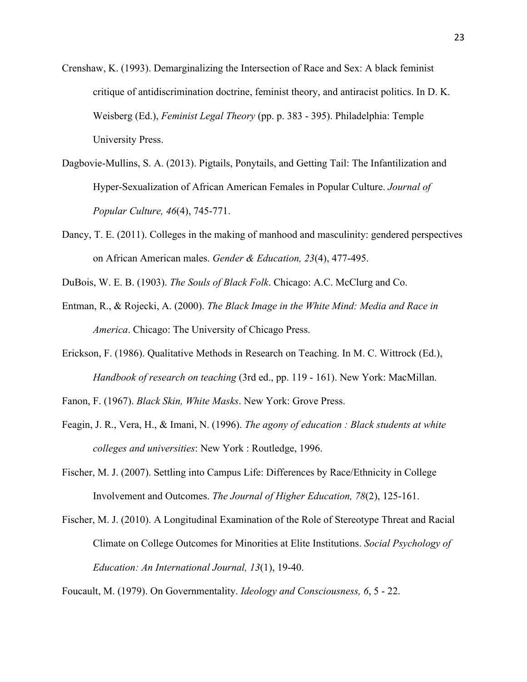- Crenshaw, K. (1993). Demarginalizing the Intersection of Race and Sex: A black feminist critique of antidiscrimination doctrine, feminist theory, and antiracist politics. In D. K. Weisberg (Ed.), *Feminist Legal Theory* (pp. p. 383 - 395). Philadelphia: Temple University Press.
- Dagbovie-Mullins, S. A. (2013). Pigtails, Ponytails, and Getting Tail: The Infantilization and Hyper-Sexualization of African American Females in Popular Culture. *Journal of Popular Culture, 46*(4), 745-771.
- Dancy, T. E. (2011). Colleges in the making of manhood and masculinity: gendered perspectives on African American males. *Gender & Education, 23*(4), 477-495.
- DuBois, W. E. B. (1903). *The Souls of Black Folk*. Chicago: A.C. McClurg and Co.
- Entman, R., & Rojecki, A. (2000). *The Black Image in the White Mind: Media and Race in America*. Chicago: The University of Chicago Press.
- Erickson, F. (1986). Qualitative Methods in Research on Teaching. In M. C. Wittrock (Ed.), *Handbook of research on teaching* (3rd ed., pp. 119 - 161). New York: MacMillan.
- Fanon, F. (1967). *Black Skin, White Masks*. New York: Grove Press.
- Feagin, J. R., Vera, H., & Imani, N. (1996). *The agony of education : Black students at white colleges and universities*: New York : Routledge, 1996.
- Fischer, M. J. (2007). Settling into Campus Life: Differences by Race/Ethnicity in College Involvement and Outcomes. *The Journal of Higher Education, 78*(2), 125-161.
- Fischer, M. J. (2010). A Longitudinal Examination of the Role of Stereotype Threat and Racial Climate on College Outcomes for Minorities at Elite Institutions. *Social Psychology of Education: An International Journal, 13*(1), 19-40.

Foucault, M. (1979). On Governmentality. *Ideology and Consciousness, 6*, 5 - 22.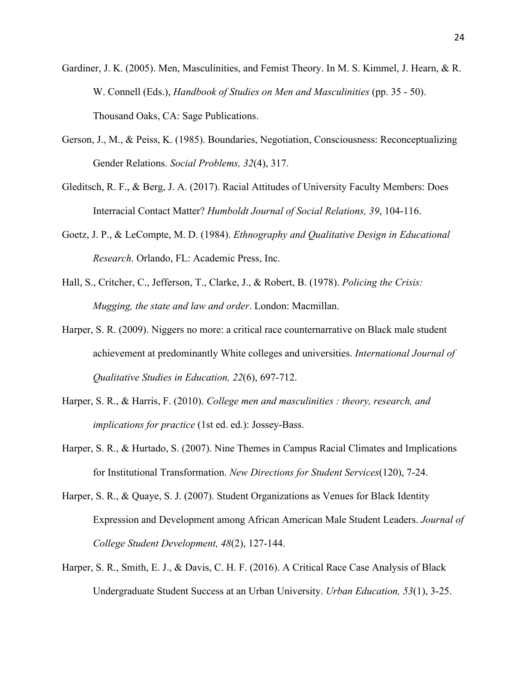- Gardiner, J. K. (2005). Men, Masculinities, and Femist Theory. In M. S. Kimmel, J. Hearn, & R. W. Connell (Eds.), *Handbook of Studies on Men and Masculinities* (pp. 35 - 50). Thousand Oaks, CA: Sage Publications.
- Gerson, J., M., & Peiss, K. (1985). Boundaries, Negotiation, Consciousness: Reconceptualizing Gender Relations. *Social Problems, 32*(4), 317.
- Gleditsch, R. F., & Berg, J. A. (2017). Racial Attitudes of University Faculty Members: Does Interracial Contact Matter? *Humboldt Journal of Social Relations, 39*, 104-116.
- Goetz, J. P., & LeCompte, M. D. (1984). *Ethnography and Qualitative Design in Educational Research*. Orlando, FL: Academic Press, Inc.
- Hall, S., Critcher, C., Jefferson, T., Clarke, J., & Robert, B. (1978). *Policing the Crisis: Mugging, the state and law and order*. London: Macmillan.
- Harper, S. R. (2009). Niggers no more: a critical race counternarrative on Black male student achievement at predominantly White colleges and universities. *International Journal of Qualitative Studies in Education, 22*(6), 697-712.
- Harper, S. R., & Harris, F. (2010). *College men and masculinities : theory, research, and implications for practice* (1st ed. ed.): Jossey-Bass.
- Harper, S. R., & Hurtado, S. (2007). Nine Themes in Campus Racial Climates and Implications for Institutional Transformation. *New Directions for Student Services*(120), 7-24.
- Harper, S. R., & Quaye, S. J. (2007). Student Organizations as Venues for Black Identity Expression and Development among African American Male Student Leaders. *Journal of College Student Development, 48*(2), 127-144.
- Harper, S. R., Smith, E. J., & Davis, C. H. F. (2016). A Critical Race Case Analysis of Black Undergraduate Student Success at an Urban University. *Urban Education, 53*(1), 3-25.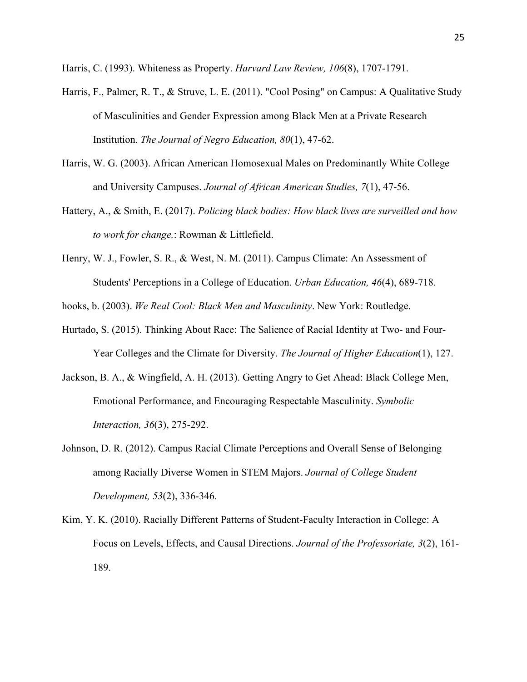Harris, C. (1993). Whiteness as Property. *Harvard Law Review, 106*(8), 1707-1791.

- Harris, F., Palmer, R. T., & Struve, L. E. (2011). "Cool Posing" on Campus: A Qualitative Study of Masculinities and Gender Expression among Black Men at a Private Research Institution. *The Journal of Negro Education, 80*(1), 47-62.
- Harris, W. G. (2003). African American Homosexual Males on Predominantly White College and University Campuses. *Journal of African American Studies, 7*(1), 47-56.
- Hattery, A., & Smith, E. (2017). *Policing black bodies: How black lives are surveilled and how to work for change.*: Rowman & Littlefield.
- Henry, W. J., Fowler, S. R., & West, N. M. (2011). Campus Climate: An Assessment of Students' Perceptions in a College of Education. *Urban Education, 46*(4), 689-718.

hooks, b. (2003). *We Real Cool: Black Men and Masculinity*. New York: Routledge.

- Hurtado, S. (2015). Thinking About Race: The Salience of Racial Identity at Two- and Four-Year Colleges and the Climate for Diversity. *The Journal of Higher Education*(1), 127.
- Jackson, B. A., & Wingfield, A. H. (2013). Getting Angry to Get Ahead: Black College Men, Emotional Performance, and Encouraging Respectable Masculinity. *Symbolic Interaction, 36*(3), 275-292.
- Johnson, D. R. (2012). Campus Racial Climate Perceptions and Overall Sense of Belonging among Racially Diverse Women in STEM Majors. *Journal of College Student Development, 53*(2), 336-346.
- Kim, Y. K. (2010). Racially Different Patterns of Student-Faculty Interaction in College: A Focus on Levels, Effects, and Causal Directions. *Journal of the Professoriate, 3*(2), 161- 189.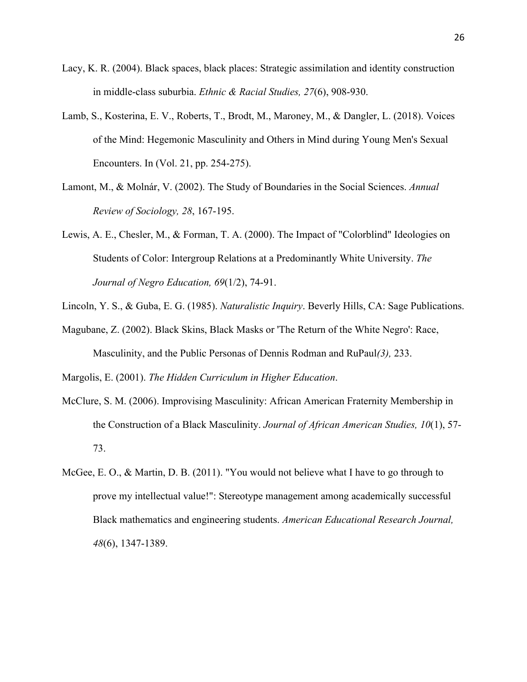- Lacy, K. R. (2004). Black spaces, black places: Strategic assimilation and identity construction in middle-class suburbia. *Ethnic & Racial Studies, 27*(6), 908-930.
- Lamb, S., Kosterina, E. V., Roberts, T., Brodt, M., Maroney, M., & Dangler, L. (2018). Voices of the Mind: Hegemonic Masculinity and Others in Mind during Young Men's Sexual Encounters. In (Vol. 21, pp. 254-275).
- Lamont, M., & Molnár, V. (2002). The Study of Boundaries in the Social Sciences. *Annual Review of Sociology, 28*, 167-195.
- Lewis, A. E., Chesler, M., & Forman, T. A. (2000). The Impact of "Colorblind" Ideologies on Students of Color: Intergroup Relations at a Predominantly White University. *The Journal of Negro Education, 69*(1/2), 74-91.
- Lincoln, Y. S., & Guba, E. G. (1985). *Naturalistic Inquiry*. Beverly Hills, CA: Sage Publications.
- Magubane, Z. (2002). Black Skins, Black Masks or 'The Return of the White Negro': Race, Masculinity, and the Public Personas of Dennis Rodman and RuPaul*(3),* 233.

Margolis, E. (2001). *The Hidden Curriculum in Higher Education*.

- McClure, S. M. (2006). Improvising Masculinity: African American Fraternity Membership in the Construction of a Black Masculinity. *Journal of African American Studies, 10*(1), 57- 73.
- McGee, E. O., & Martin, D. B. (2011). "You would not believe what I have to go through to prove my intellectual value!": Stereotype management among academically successful Black mathematics and engineering students. *American Educational Research Journal, 48*(6), 1347-1389.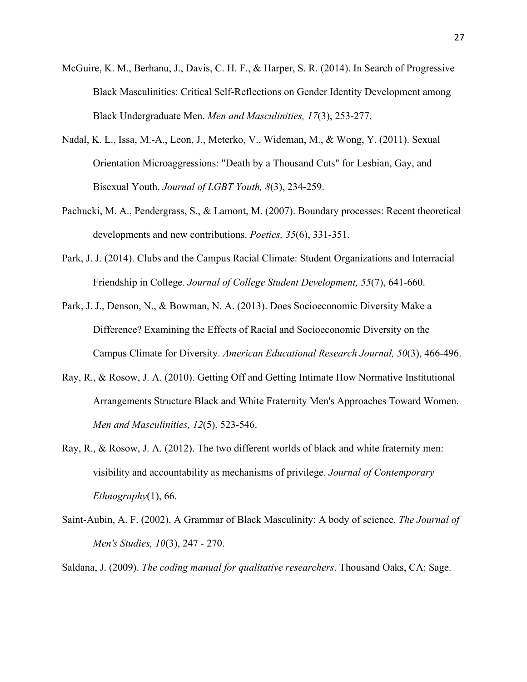- McGuire, K. M., Berhanu, J., Davis, C. H. F., & Harper, S. R. (2014). In Search of Progressive Black Masculinities: Critical Self-Reflections on Gender Identity Development among Black Undergraduate Men. *Men and Masculinities, 17*(3), 253-277.
- Nadal, K. L., Issa, M.-A., Leon, J., Meterko, V., Wideman, M., & Wong, Y. (2011). Sexual Orientation Microaggressions: "Death by a Thousand Cuts" for Lesbian, Gay, and Bisexual Youth. *Journal of LGBT Youth, 8*(3), 234-259.
- Pachucki, M. A., Pendergrass, S., & Lamont, M. (2007). Boundary processes: Recent theoretical developments and new contributions. *Poetics, 35*(6), 331-351.
- Park, J. J. (2014). Clubs and the Campus Racial Climate: Student Organizations and Interracial Friendship in College. *Journal of College Student Development, 55*(7), 641-660.
- Park, J. J., Denson, N., & Bowman, N. A. (2013). Does Socioeconomic Diversity Make a Difference? Examining the Effects of Racial and Socioeconomic Diversity on the Campus Climate for Diversity. *American Educational Research Journal, 50*(3), 466-496.
- Ray, R., & Rosow, J. A. (2010). Getting Off and Getting Intimate How Normative Institutional Arrangements Structure Black and White Fraternity Men's Approaches Toward Women. *Men and Masculinities, 12*(5), 523-546.
- Ray, R., & Rosow, J. A. (2012). The two different worlds of black and white fraternity men: visibility and accountability as mechanisms of privilege. *Journal of Contemporary Ethnography*(1), 66.
- Saint-Aubin, A. F. (2002). A Grammar of Black Masculinity: A body of science. *The Journal of Men's Studies, 10*(3), 247 - 270.

Saldana, J. (2009). *The coding manual for qualitative researchers*. Thousand Oaks, CA: Sage.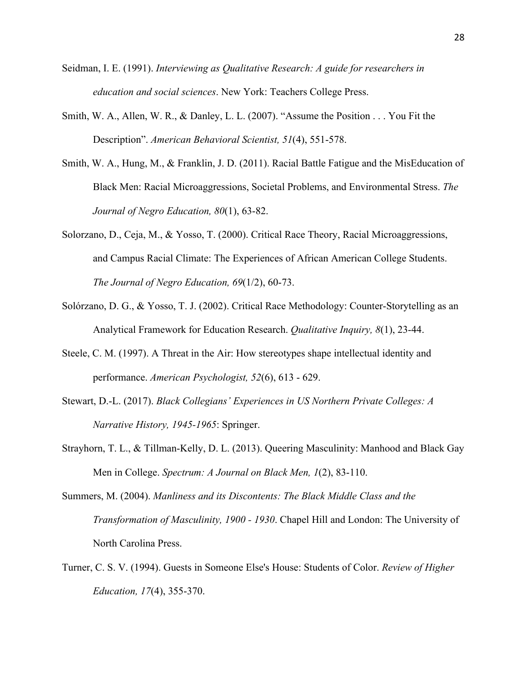- Seidman, I. E. (1991). *Interviewing as Qualitative Research: A guide for researchers in education and social sciences*. New York: Teachers College Press.
- Smith, W. A., Allen, W. R., & Danley, L. L. (2007). "Assume the Position . . . You Fit the Description". *American Behavioral Scientist, 51*(4), 551-578.
- Smith, W. A., Hung, M., & Franklin, J. D. (2011). Racial Battle Fatigue and the MisEducation of Black Men: Racial Microaggressions, Societal Problems, and Environmental Stress. *The Journal of Negro Education, 80*(1), 63-82.
- Solorzano, D., Ceja, M., & Yosso, T. (2000). Critical Race Theory, Racial Microaggressions, and Campus Racial Climate: The Experiences of African American College Students. *The Journal of Negro Education, 69*(1/2), 60-73.
- Solórzano, D. G., & Yosso, T. J. (2002). Critical Race Methodology: Counter-Storytelling as an Analytical Framework for Education Research. *Qualitative Inquiry, 8*(1), 23-44.
- Steele, C. M. (1997). A Threat in the Air: How stereotypes shape intellectual identity and performance. *American Psychologist, 52*(6), 613 - 629.
- Stewart, D.-L. (2017). *Black Collegians' Experiences in US Northern Private Colleges: A Narrative History, 1945-1965*: Springer.
- Strayhorn, T. L., & Tillman-Kelly, D. L. (2013). Queering Masculinity: Manhood and Black Gay Men in College. *Spectrum: A Journal on Black Men, 1*(2), 83-110.
- Summers, M. (2004). *Manliness and its Discontents: The Black Middle Class and the Transformation of Masculinity, 1900 - 1930*. Chapel Hill and London: The University of North Carolina Press.
- Turner, C. S. V. (1994). Guests in Someone Else's House: Students of Color. *Review of Higher Education, 17*(4), 355-370.